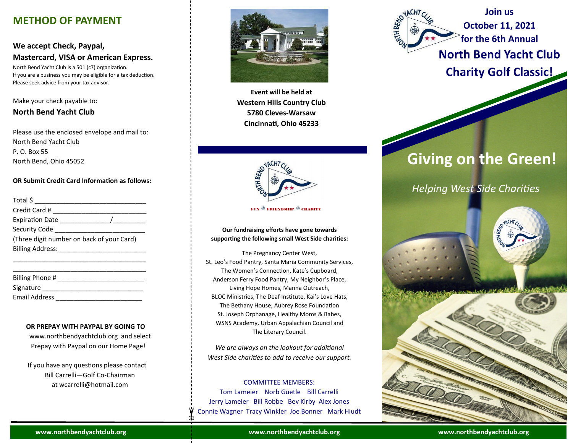# **METHOD OF PAYMENT**

# **We accept Check, Paypal, Mastercard, VISA or American Express.**

North Bend Yacht Club is a 501 (c7) organization. If you are a business you may be eligible for a tax deduction. Please seek advice from your tax advisor.

# Make your check payable to:

# **North Bend Yacht Club**

Please use the enclosed envelope and mail to: North Bend Yacht Club P. O. Box 55 North Bend, Ohio 45052

# **OR Submit Credit Card Information as follows:**

| Total \$                                            |
|-----------------------------------------------------|
| Credit Card #                                       |
| Expiration Date ____________                        |
| Security Code                                       |
| (Three digit number on back of your Card)           |
| Billing Address: Management of the Billing Address: |
|                                                     |

| Billing Phone #      |  |  |
|----------------------|--|--|
| Signature            |  |  |
| <b>Email Address</b> |  |  |

# **OR PREPAY WITH PAYPAL BY GOING TO**

 www.northbendyachtclub.org and select Prepay with Paypal on our Home Page!

 If you have any questions please contact Bill Carrelli—Golf Co-Chairman at wcarrelli@hotmail.com



**Event will be held at Western Hills Country Club 5780 Cleves-Warsaw Cincinnati, Ohio 45233**



**FUN ® FRIENDSHIP ® CHARITY** 

## **Our fundraising efforts have gone towards supporting the following small West Side charities:**

The Pregnancy Center West, St. Leo's Food Pantry, Santa Maria Community Services, The Women's Connection, Kate's Cupboard, Anderson Ferry Food Pantry, My Neighbor's Place, Living Hope Homes, Manna Outreach, BLOC Ministries, The Deaf Institute, Kai's Love Hats, The Bethany House, Aubrey Rose Foundation St. Joseph Orphanage, Healthy Moms & Babes, WSNS Academy, Urban Appalachian Council and The Literary Council.

*We are always on the lookout for additional West Side charities to add to receive our support.*

# COMMITTEE MEMBERS:

Tom Lameier Norb Guetle Bill Carrelli Jerry Lameier Bill Robbe Bev Kirby Alex Jones Connie Wagner Tracy Winkler Joe Bonner Mark Hiudt

**Join us October 11, 2021 for the 6th Annual North Bend Yacht Club Charity Golf Classic!**

**ATHBENO** 

# **Giving on the Green!**

# *Helping West Side Charities*



**www.northbendyachtclub.org www.northbendyachtclub.org www.northbendyachtclub.org**